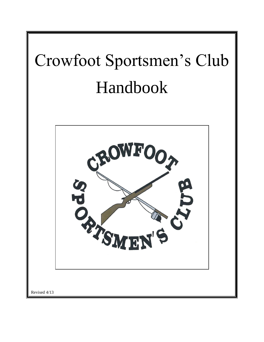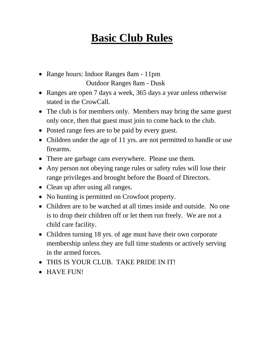### **Basic Club Rules**

- Range hours: Indoor Ranges 8am 11pm Outdoor Ranges 8am - Dusk
- Ranges are open 7 days a week, 365 days a year unless otherwise stated in the CrowCall.
- The club is for members only. Members may bring the same guest only once, then that guest must join to come back to the club.
- Posted range fees are to be paid by every guest.
- Children under the age of 11 yrs. are not permitted to handle or use firearms.
- There are garbage cans everywhere. Please use them.
- Any person not obeying range rules or safety rules will lose their range privileges and brought before the Board of Directors.
- Clean up after using all ranges.
- No hunting is permitted on Crowfoot property.
- Children are to be watched at all times inside and outside. No one is to drop their children off or let them run freely. We are not a child care facility.
- Children turning 18 yrs. of age must have their own corporate membership unless they are full time students or actively serving in the armed forces.
- THIS IS YOUR CLUB. TAKE PRIDE IN IT!
- HAVE FUN!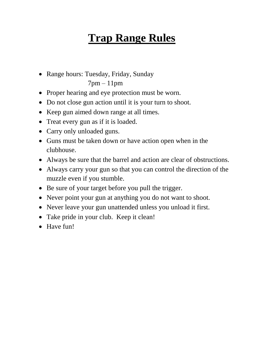# **Trap Range Rules**

• Range hours: Tuesday, Friday, Sunday

7pm – 11pm

- Proper hearing and eye protection must be worn.
- Do not close gun action until it is your turn to shoot.
- Keep gun aimed down range at all times.
- Treat every gun as if it is loaded.
- Carry only unloaded guns.
- Guns must be taken down or have action open when in the clubhouse.
- Always be sure that the barrel and action are clear of obstructions.
- Always carry your gun so that you can control the direction of the muzzle even if you stumble.
- Be sure of your target before you pull the trigger.
- Never point your gun at anything you do not want to shoot.
- Never leave your gun unattended unless you unload it first.
- Take pride in your club. Keep it clean!
- Have fun!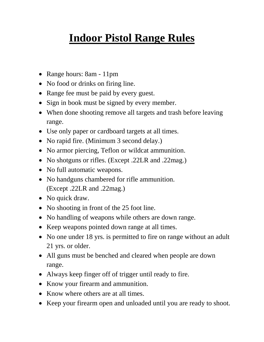### **Indoor Pistol Range Rules**

- Range hours: 8am 11pm
- No food or drinks on firing line.
- Range fee must be paid by every guest.
- Sign in book must be signed by every member.
- When done shooting remove all targets and trash before leaving range.
- Use only paper or cardboard targets at all times.
- No rapid fire. (Minimum 3 second delay.)
- No armor piercing, Teflon or wildcat ammunition.
- No shotguns or rifles. (Except .22LR and .22mag.)
- No full automatic weapons.
- No handguns chambered for rifle ammunition. (Except .22LR and .22mag.)
- No quick draw.
- No shooting in front of the 25 foot line.
- No handling of weapons while others are down range.
- Keep weapons pointed down range at all times.
- No one under 18 yrs. is permitted to fire on range without an adult 21 yrs. or older.
- All guns must be benched and cleared when people are down range.
- Always keep finger off of trigger until ready to fire.
- Know your firearm and ammunition.
- Know where others are at all times.
- Keep your firearm open and unloaded until you are ready to shoot.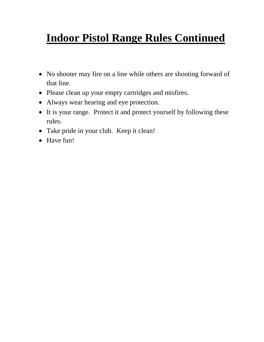# **Indoor Pistol Range Rules Continued**

- No shooter may fire on a line while others are shooting forward of that line.
- Please clean up your empty cartridges and misfires.
- Always wear hearing and eye protection.
- It is your range. Protect it and protect yourself by following these rules.
- Take pride in your club. Keep it clean!
- Have fun!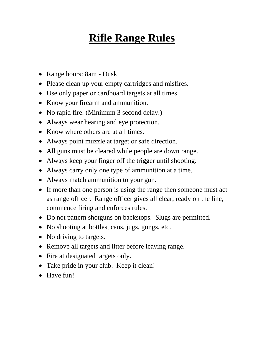### **Rifle Range Rules**

- Range hours: 8am Dusk
- Please clean up your empty cartridges and misfires.
- Use only paper or cardboard targets at all times.
- Know your firearm and ammunition.
- No rapid fire. (Minimum 3 second delay.)
- Always wear hearing and eye protection.
- Know where others are at all times.
- Always point muzzle at target or safe direction.
- All guns must be cleared while people are down range.
- Always keep your finger off the trigger until shooting.
- Always carry only one type of ammunition at a time.
- Always match ammunition to your gun.
- If more than one person is using the range then someone must act as range officer. Range officer gives all clear, ready on the line, commence firing and enforces rules.
- Do not pattern shotguns on backstops. Slugs are permitted.
- No shooting at bottles, cans, jugs, gongs, etc.
- No driving to targets.
- Remove all targets and litter before leaving range.
- Fire at designated targets only.
- Take pride in your club. Keep it clean!
- Have fun!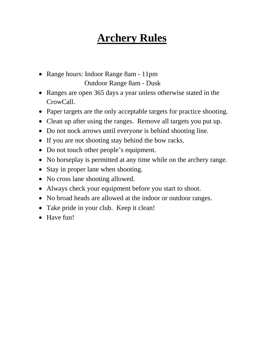#### **Archery Rules**

- Range hours: Indoor Range 8am 11pm Outdoor Range 8am - Dusk
- Ranges are open 365 days a year unless otherwise stated in the CrowCall.
- Paper targets are the only acceptable targets for practice shooting.
- Clean up after using the ranges. Remove all targets you put up.
- Do not nock arrows until everyone is behind shooting line.
- If you are not shooting stay behind the bow racks.
- Do not touch other people's equipment.
- No horseplay is permitted at any time while on the archery range.
- Stay in proper lane when shooting.
- No cross lane shooting allowed.
- Always check your equipment before you start to shoot.
- No broad heads are allowed at the indoor or outdoor ranges.
- Take pride in your club. Keep it clean!
- Have fun!